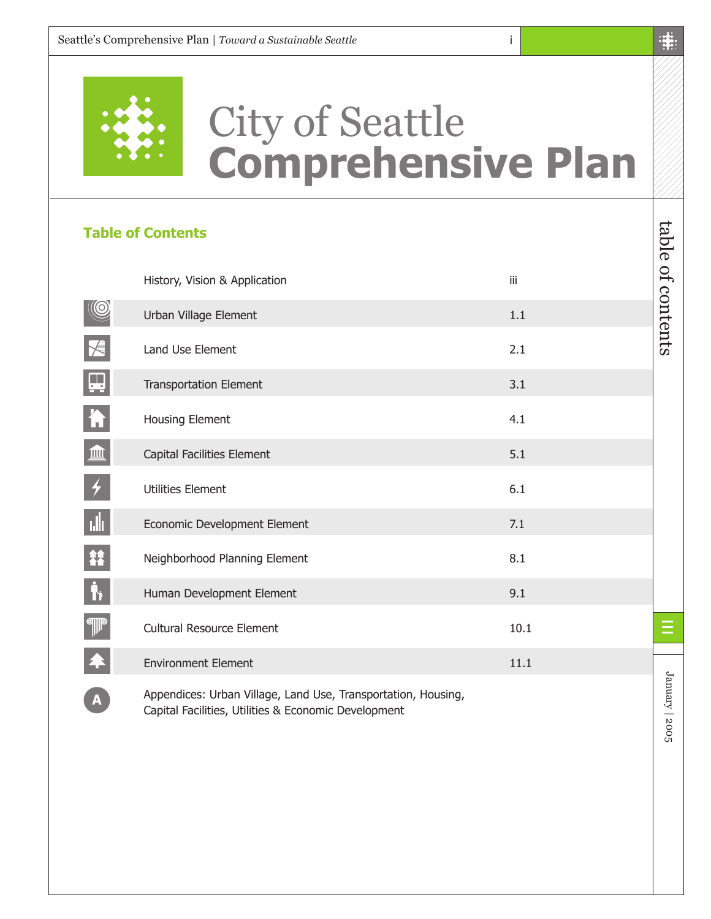

## City of Seattle **Comprehensive Plan**

i

#### **Table of Contents**

|                         | History, Vision & Application                                 | iii  |
|-------------------------|---------------------------------------------------------------|------|
|                         | Urban Village Element                                         | 1.1  |
| $\overline{\mathsf{X}}$ | Land Use Element                                              | 2.1  |
| $\Box$                  | <b>Transportation Element</b>                                 | 3.1  |
| h                       | Housing Element                                               | 4.1  |
| L                       | Capital Facilities Element                                    | 5.1  |
|                         | <b>Utilities Element</b>                                      | 6.1  |
| пÎг                     | Economic Development Element                                  | 7.1  |
| 籍                       | Neighborhood Planning Element                                 | 8.1  |
| <b>j</b>                | Human Development Element                                     | 9.1  |
| <b>ell</b> le           | Cultural Resource Element                                     | 10.1 |
|                         | <b>Environment Element</b>                                    | 11.1 |
| A                       | Appendices: Urban Village, Land Use, Transportation, Housing, |      |

Capital Facilities, Utilities & Economic Development

table of contents

table of contents

January | 2005

January | 2005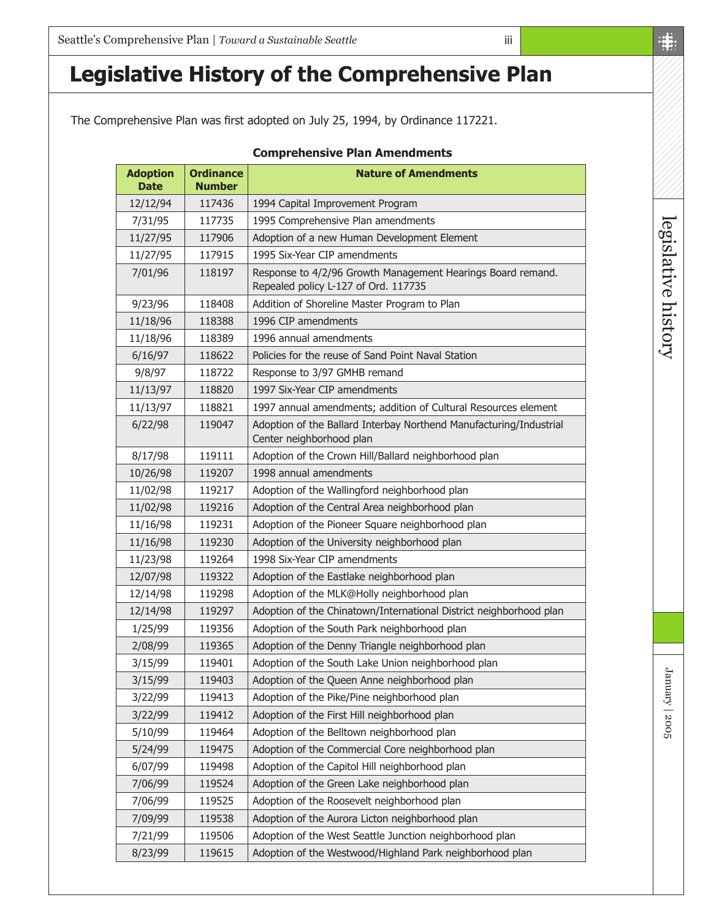## **Legislative History of the Comprehensive Plan**

The Comprehensive Plan was first adopted on July 25, 1994, by Ordinance 117221.

| <b>Adoption</b><br><b>Date</b> | <b>Ordinance</b><br>Number | <b>Nature of Amendments</b>                                                                         |
|--------------------------------|----------------------------|-----------------------------------------------------------------------------------------------------|
| 12/12/94                       | 117436                     | 1994 Capital Improvement Program                                                                    |
| 7/31/95                        | 117735                     | 1995 Comprehensive Plan amendments                                                                  |
| 11/27/95                       | 117906                     | Adoption of a new Human Development Element                                                         |
| 11/27/95                       | 117915                     | 1995 Six-Year CIP amendments                                                                        |
| 7/01/96                        | 118197                     | Response to 4/2/96 Growth Management Hearings Board remand.<br>Repealed policy L-127 of Ord. 117735 |
| 9/23/96                        | 118408                     | Addition of Shoreline Master Program to Plan                                                        |
| 11/18/96                       | 118388                     | 1996 CIP amendments                                                                                 |
| 11/18/96                       | 118389                     | 1996 annual amendments                                                                              |
| 6/16/97                        | 118622                     | Policies for the reuse of Sand Point Naval Station                                                  |
| 9/8/97                         | 118722                     | Response to 3/97 GMHB remand                                                                        |
| 11/13/97                       | 118820                     | 1997 Six-Year CIP amendments                                                                        |
| 11/13/97                       | 118821                     | 1997 annual amendments; addition of Cultural Resources element                                      |
| 6/22/98                        | 119047                     | Adoption of the Ballard Interbay Northend Manufacturing/Industrial<br>Center neighborhood plan      |
| 8/17/98                        | 119111                     | Adoption of the Crown Hill/Ballard neighborhood plan                                                |
| 10/26/98                       | 119207                     | 1998 annual amendments                                                                              |
| 11/02/98                       | 119217                     | Adoption of the Wallingford neighborhood plan                                                       |
| 11/02/98                       | 119216                     | Adoption of the Central Area neighborhood plan                                                      |
| 11/16/98                       | 119231                     | Adoption of the Pioneer Square neighborhood plan                                                    |
| 11/16/98                       | 119230                     | Adoption of the University neighborhood plan                                                        |
| 11/23/98                       | 119264                     | 1998 Six-Year CIP amendments                                                                        |
| 12/07/98                       | 119322                     | Adoption of the Eastlake neighborhood plan                                                          |
| 12/14/98                       | 119298                     | Adoption of the MLK@Holly neighborhood plan                                                         |
| 12/14/98                       | 119297                     | Adoption of the Chinatown/International District neighborhood plan                                  |
| 1/25/99                        | 119356                     | Adoption of the South Park neighborhood plan                                                        |
| 2/08/99                        | 119365                     | Adoption of the Denny Triangle neighborhood plan                                                    |
| 3/15/99                        | 119401                     | Adoption of the South Lake Union neighborhood plan                                                  |
| 3/15/99                        | 119403                     | Adoption of the Queen Anne neighborhood plan                                                        |
| 3/22/99                        | 119413                     | Adoption of the Pike/Pine neighborhood plan                                                         |
| 3/22/99                        | 119412                     | Adoption of the First Hill neighborhood plan                                                        |
| 5/10/99                        | 119464                     | Adoption of the Belltown neighborhood plan                                                          |
| 5/24/99                        | 119475                     | Adoption of the Commercial Core neighborhood plan                                                   |
| 6/07/99                        | 119498                     | Adoption of the Capitol Hill neighborhood plan                                                      |
| 7/06/99                        | 119524                     | Adoption of the Green Lake neighborhood plan                                                        |
| 7/06/99                        | 119525                     | Adoption of the Roosevelt neighborhood plan                                                         |
| 7/09/99                        | 119538                     | Adoption of the Aurora Licton neighborhood plan                                                     |
| 7/21/99                        | 119506                     | Adoption of the West Seattle Junction neighborhood plan                                             |
| 8/23/99                        | 119615                     | Adoption of the Westwood/Highland Park neighborhood plan                                            |

#### **Comprehensive Plan Amendments**

iii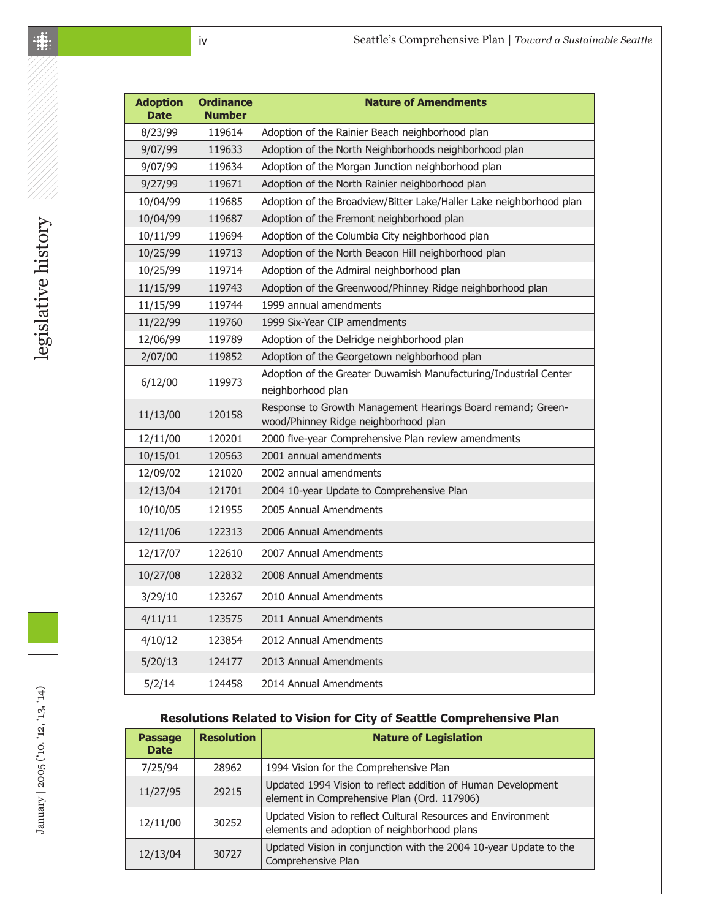| <b>Adoption</b><br><b>Date</b> | <b>Ordinance</b><br><b>Number</b> | <b>Nature of Amendments</b>                                                                         |
|--------------------------------|-----------------------------------|-----------------------------------------------------------------------------------------------------|
| 8/23/99                        | 119614                            | Adoption of the Rainier Beach neighborhood plan                                                     |
| 9/07/99                        | 119633                            | Adoption of the North Neighborhoods neighborhood plan                                               |
| 9/07/99                        | 119634                            | Adoption of the Morgan Junction neighborhood plan                                                   |
| 9/27/99                        | 119671                            | Adoption of the North Rainier neighborhood plan                                                     |
| 10/04/99                       | 119685                            | Adoption of the Broadview/Bitter Lake/Haller Lake neighborhood plan                                 |
| 10/04/99                       | 119687                            | Adoption of the Fremont neighborhood plan                                                           |
| 10/11/99                       | 119694                            | Adoption of the Columbia City neighborhood plan                                                     |
| 10/25/99                       | 119713                            | Adoption of the North Beacon Hill neighborhood plan                                                 |
| 10/25/99                       | 119714                            | Adoption of the Admiral neighborhood plan                                                           |
| 11/15/99                       | 119743                            | Adoption of the Greenwood/Phinney Ridge neighborhood plan                                           |
| 11/15/99                       | 119744                            | 1999 annual amendments                                                                              |
| 11/22/99                       | 119760                            | 1999 Six-Year CIP amendments                                                                        |
| 12/06/99                       | 119789                            | Adoption of the Delridge neighborhood plan                                                          |
| 2/07/00                        | 119852                            | Adoption of the Georgetown neighborhood plan                                                        |
| 6/12/00                        | 119973                            | Adoption of the Greater Duwamish Manufacturing/Industrial Center<br>neighborhood plan               |
| 11/13/00                       | 120158                            | Response to Growth Management Hearings Board remand; Green-<br>wood/Phinney Ridge neighborhood plan |
| 12/11/00                       | 120201                            | 2000 five-year Comprehensive Plan review amendments                                                 |
| 10/15/01                       | 120563                            | 2001 annual amendments                                                                              |
| 12/09/02                       | 121020                            | 2002 annual amendments                                                                              |
| 12/13/04                       | 121701                            | 2004 10-year Update to Comprehensive Plan                                                           |
| 10/10/05                       | 121955                            | 2005 Annual Amendments                                                                              |
| 12/11/06                       | 122313                            | 2006 Annual Amendments                                                                              |
| 12/17/07                       | 122610                            | 2007 Annual Amendments                                                                              |
| 10/27/08                       | 122832                            | 2008 Annual Amendments                                                                              |
| 3/29/10                        | 123267                            | 2010 Annual Amendments                                                                              |
| 4/11/11                        | 123575                            | 2011 Annual Amendments                                                                              |
| 4/10/12                        | 123854                            | 2012 Annual Amendments                                                                              |
| 5/20/13                        | 124177                            | 2013 Annual Amendments                                                                              |
| 5/2/14                         | 124458                            | 2014 Annual Amendments                                                                              |

#### **Resolutions Related to Vision for City of Seattle Comprehensive Plan**

| <b>Passage</b><br><b>Date</b>          | <b>Resolution</b> | <b>Nature of Legislation</b>                                                                                |
|----------------------------------------|-------------------|-------------------------------------------------------------------------------------------------------------|
| 7/25/94                                | 28962             | 1994 Vision for the Comprehensive Plan                                                                      |
| 11/27/95                               | 29215             | Updated 1994 Vision to reflect addition of Human Development<br>element in Comprehensive Plan (Ord. 117906) |
| 30252<br>12/11/00<br>12/13/04<br>30727 |                   | Updated Vision to reflect Cultural Resources and Environment<br>elements and adoption of neighborhood plans |
|                                        |                   | Updated Vision in conjunction with the 2004 10-year Update to the<br>Comprehensive Plan                     |

 $\overline{\phantom{a}}$ 

 $\overline{\phantom{a}}$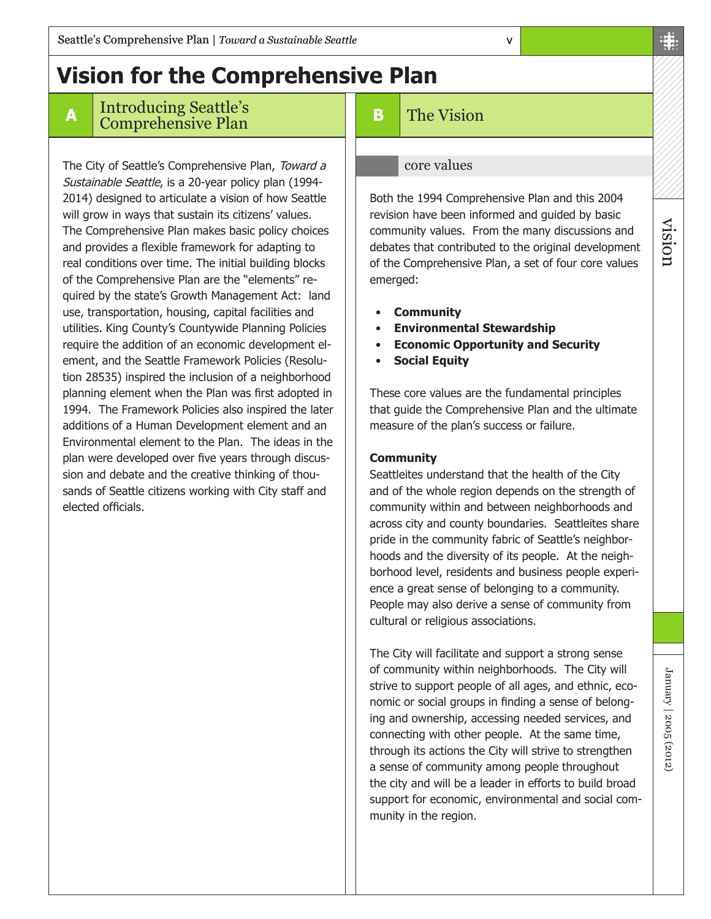## **Vision for the Comprehensive Plan**

#### **<sup>A</sup>** Introducing Seattle's Comprehensive Plan

The City of Seattle's Comprehensive Plan, Toward a Sustainable Seattle, is a 20-year policy plan (1994- 2014) designed to articulate a vision of how Seattle will grow in ways that sustain its citizens' values. The Comprehensive Plan makes basic policy choices and provides a flexible framework for adapting to real conditions over time. The initial building blocks of the Comprehensive Plan are the "elements" required by the state's Growth Management Act: land use, transportation, housing, capital facilities and utilities. King County's Countywide Planning Policies require the addition of an economic development element, and the Seattle Framework Policies (Resolution 28535) inspired the inclusion of a neighborhood planning element when the Plan was first adopted in 1994. The Framework Policies also inspired the later additions of a Human Development element and an Environmental element to the Plan. The ideas in the plan were developed over five years through discussion and debate and the creative thinking of thousands of Seattle citizens working with City staff and elected officials.

#### **B** The Vision

#### core values

Both the 1994 Comprehensive Plan and this 2004 revision have been informed and guided by basic community values. From the many discussions and debates that contributed to the original development of the Comprehensive Plan, a set of four core values emerged:

v

- **Community**
- **Environmental Stewardship**
- **Economic Opportunity and Security**
- **Social Equity**

These core values are the fundamental principles that guide the Comprehensive Plan and the ultimate measure of the plan's success or failure.

#### **Community**

Seattleites understand that the health of the City and of the whole region depends on the strength of community within and between neighborhoods and across city and county boundaries. Seattleites share pride in the community fabric of Seattle's neighborhoods and the diversity of its people. At the neighborhood level, residents and business people experience a great sense of belonging to a community. People may also derive a sense of community from cultural or religious associations.

The City will facilitate and support a strong sense of community within neighborhoods. The City will strive to support people of all ages, and ethnic, economic or social groups in finding a sense of belonging and ownership, accessing needed services, and connecting with other people. At the same time, through its actions the City will strive to strengthen a sense of community among people throughout the city and will be a leader in efforts to build broad support for economic, environmental and social community in the region.

vision

January | 2005 (2012)

January | 2005 (2012)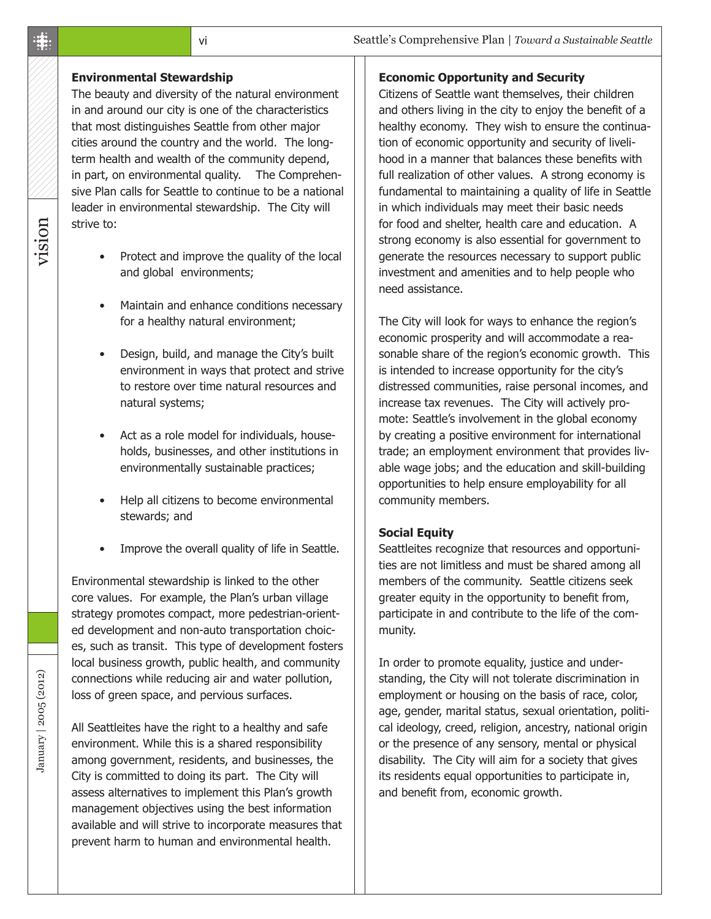#### **Environmental Stewardship**

The beauty and diversity of the natural environment in and around our city is one of the characteristics that most distinguishes Seattle from other major cities around the country and the world. The longterm health and wealth of the community depend, in part, on environmental quality. The Comprehensive Plan calls for Seattle to continue to be a national leader in environmental stewardship. The City will strive to:

- Protect and improve the quality of the local and global environments;
- Maintain and enhance conditions necessary for a healthy natural environment;
- Design, build, and manage the City's built environment in ways that protect and strive to restore over time natural resources and natural systems;
- Act as a role model for individuals, households, businesses, and other institutions in environmentally sustainable practices;
- Help all citizens to become environmental stewards; and
- Improve the overall quality of life in Seattle.

Environmental stewardship is linked to the other core values. For example, the Plan's urban village strategy promotes compact, more pedestrian-oriented development and non-auto transportation choices, such as transit. This type of development fosters local business growth, public health, and community connections while reducing air and water pollution, loss of green space, and pervious surfaces.

All Seattleites have the right to a healthy and safe environment. While this is a shared responsibility among government, residents, and businesses, the City is committed to doing its part. The City will assess alternatives to implement this Plan's growth management objectives using the best information available and will strive to incorporate measures that prevent harm to human and environmental health.

#### **Economic Opportunity and Security**

Citizens of Seattle want themselves, their children and others living in the city to enjoy the benefit of a healthy economy. They wish to ensure the continuation of economic opportunity and security of livelihood in a manner that balances these benefits with full realization of other values. A strong economy is fundamental to maintaining a quality of life in Seattle in which individuals may meet their basic needs for food and shelter, health care and education. A strong economy is also essential for government to generate the resources necessary to support public investment and amenities and to help people who need assistance.

The City will look for ways to enhance the region's economic prosperity and will accommodate a reasonable share of the region's economic growth. This is intended to increase opportunity for the city's distressed communities, raise personal incomes, and increase tax revenues. The City will actively promote: Seattle's involvement in the global economy by creating a positive environment for international trade; an employment environment that provides livable wage jobs; and the education and skill-building opportunities to help ensure employability for all community members.

#### **Social Equity**

Seattleites recognize that resources and opportunities are not limitless and must be shared among all members of the community. Seattle citizens seek greater equity in the opportunity to benefit from, participate in and contribute to the life of the community.

In order to promote equality, justice and understanding, the City will not tolerate discrimination in employment or housing on the basis of race, color, age, gender, marital status, sexual orientation, political ideology, creed, religion, ancestry, national origin or the presence of any sensory, mental or physical disability. The City will aim for a society that gives its residents equal opportunities to participate in, and benefit from, economic growth.

#### $\ddot{\ddot{\pi}}$

# vision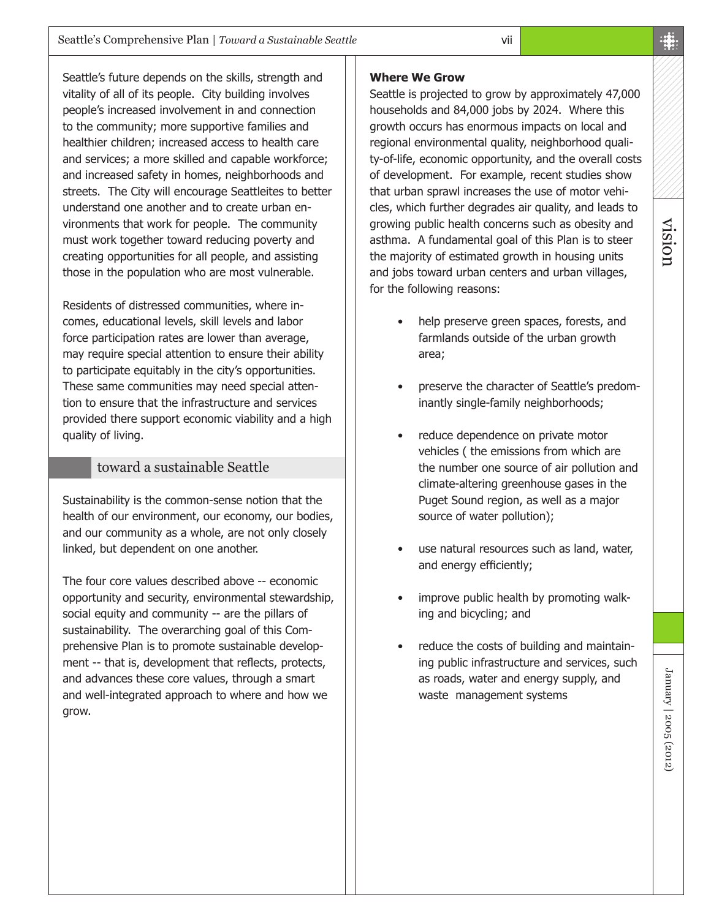Seattle's future depends on the skills, strength and vitality of all of its people. City building involves people's increased involvement in and connection to the community; more supportive families and healthier children; increased access to health care and services; a more skilled and capable workforce; and increased safety in homes, neighborhoods and streets. The City will encourage Seattleites to better understand one another and to create urban environments that work for people. The community must work together toward reducing poverty and creating opportunities for all people, and assisting those in the population who are most vulnerable.

Residents of distressed communities, where incomes, educational levels, skill levels and labor force participation rates are lower than average, may require special attention to ensure their ability to participate equitably in the city's opportunities. These same communities may need special attention to ensure that the infrastructure and services provided there support economic viability and a high quality of living.

#### toward a sustainable Seattle

Sustainability is the common-sense notion that the health of our environment, our economy, our bodies, and our community as a whole, are not only closely linked, but dependent on one another.

The four core values described above -- economic opportunity and security, environmental stewardship, social equity and community -- are the pillars of sustainability. The overarching goal of this Comprehensive Plan is to promote sustainable development -- that is, development that reflects, protects, and advances these core values, through a smart and well-integrated approach to where and how we grow.

#### **Where We Grow**

Seattle is projected to grow by approximately 47,000 households and 84,000 jobs by 2024. Where this growth occurs has enormous impacts on local and regional environmental quality, neighborhood quality-of-life, economic opportunity, and the overall costs of development. For example, recent studies show that urban sprawl increases the use of motor vehicles, which further degrades air quality, and leads to growing public health concerns such as obesity and asthma. A fundamental goal of this Plan is to steer the majority of estimated growth in housing units and jobs toward urban centers and urban villages, for the following reasons:

vii

- help preserve green spaces, forests, and farmlands outside of the urban growth area;
- preserve the character of Seattle's predominantly single-family neighborhoods;
- reduce dependence on private motor vehicles ( the emissions from which are the number one source of air pollution and climate-altering greenhouse gases in the Puget Sound region, as well as a major source of water pollution);
- use natural resources such as land, water, and energy efficiently;
- improve public health by promoting walking and bicycling; and
- reduce the costs of building and maintaining public infrastructure and services, such as roads, water and energy supply, and waste management systems

vision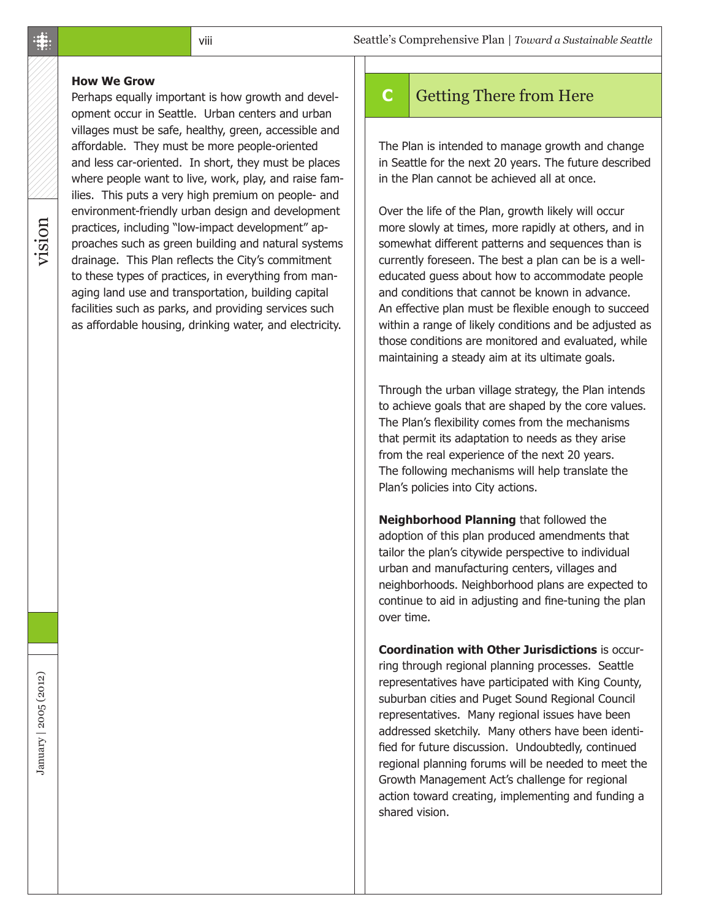#### **How We Grow**

Perhaps equally important is how growth and development occur in Seattle. Urban centers and urban villages must be safe, healthy, green, accessible and affordable. They must be more people-oriented and less car-oriented. In short, they must be places where people want to live, work, play, and raise families. This puts a very high premium on people- and environment-friendly urban design and development practices, including "low-impact development" approaches such as green building and natural systems drainage. This Plan reflects the City's commitment to these types of practices, in everything from managing land use and transportation, building capital facilities such as parks, and providing services such as affordable housing, drinking water, and electricity.

#### **C** Getting There from Here

The Plan is intended to manage growth and change in Seattle for the next 20 years. The future described in the Plan cannot be achieved all at once.

Over the life of the Plan, growth likely will occur more slowly at times, more rapidly at others, and in somewhat different patterns and sequences than is currently foreseen. The best a plan can be is a welleducated guess about how to accommodate people and conditions that cannot be known in advance. An effective plan must be flexible enough to succeed within a range of likely conditions and be adjusted as those conditions are monitored and evaluated, while maintaining a steady aim at its ultimate goals.

Through the urban village strategy, the Plan intends to achieve goals that are shaped by the core values. The Plan's flexibility comes from the mechanisms that permit its adaptation to needs as they arise from the real experience of the next 20 years. The following mechanisms will help translate the Plan's policies into City actions.

**Neighborhood Planning** that followed the adoption of this plan produced amendments that tailor the plan's citywide perspective to individual urban and manufacturing centers, villages and neighborhoods. Neighborhood plans are expected to continue to aid in adjusting and fine-tuning the plan over time.

**Coordination with Other Jurisdictions** is occurring through regional planning processes. Seattle representatives have participated with King County, suburban cities and Puget Sound Regional Council representatives. Many regional issues have been addressed sketchily. Many others have been identified for future discussion. Undoubtedly, continued regional planning forums will be needed to meet the Growth Management Act's challenge for regional action toward creating, implementing and funding a shared vision.

#### $\ddot{\ddot{\pi}}$

vision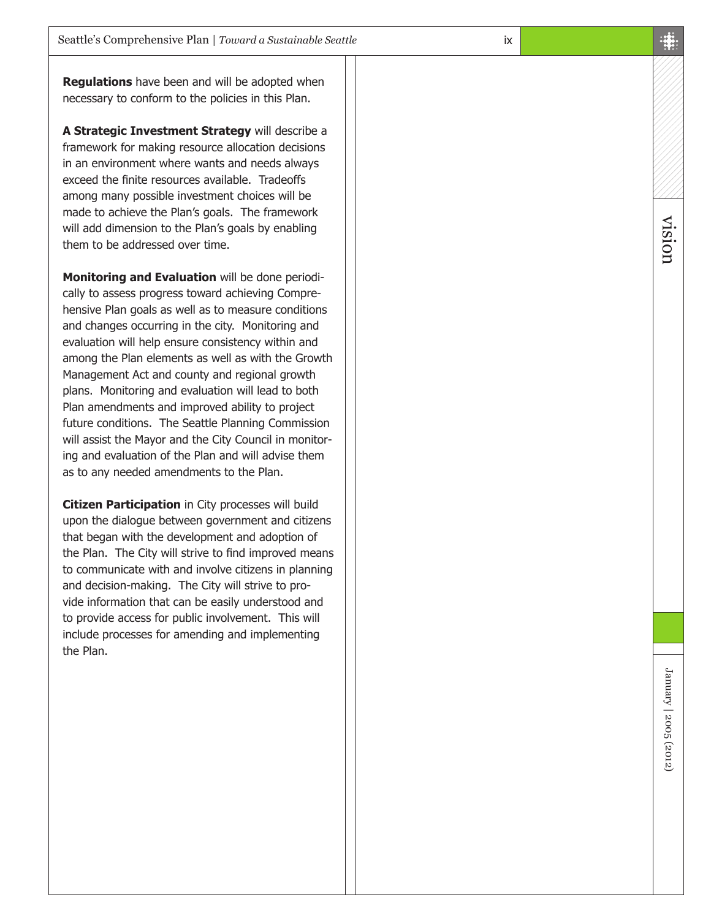**Regulations** have been and will be adopted when necessary to conform to the policies in this Plan.

**A Strategic Investment Strategy** will describe a framework for making resource allocation decisions in an environment where wants and needs always exceed the finite resources available. Tradeoffs among many possible investment choices will be made to achieve the Plan's goals. The framework will add dimension to the Plan's goals by enabling them to be addressed over time.

**Monitoring and Evaluation** will be done periodi cally to assess progress toward achieving Compre hensive Plan goals as well as to measure conditions and changes occurring in the city. Monitoring and evaluation will help ensure consistency within and among the Plan elements as well as with the Growth Management Act and county and regional growth plans. Monitoring and evaluation will lead to both Plan amendments and improved ability to project future conditions. The Seattle Planning Commission will assist the Mayor and the City Council in monitor ing and evaluation of the Plan and will advise them as to any needed amendments to the Plan.

**Citizen Participation** in City processes will build upon the dialogue between government and citizens that began with the development and adoption of the Plan. The City will strive to find improved means to communicate with and involve citizens in planning and decision-making. The City will strive to pro vide information that can be easily understood and to provide access for public involvement. This will include processes for amending and implementing the Plan.

vision

January | 2005 (2012) January | 2005 (2012)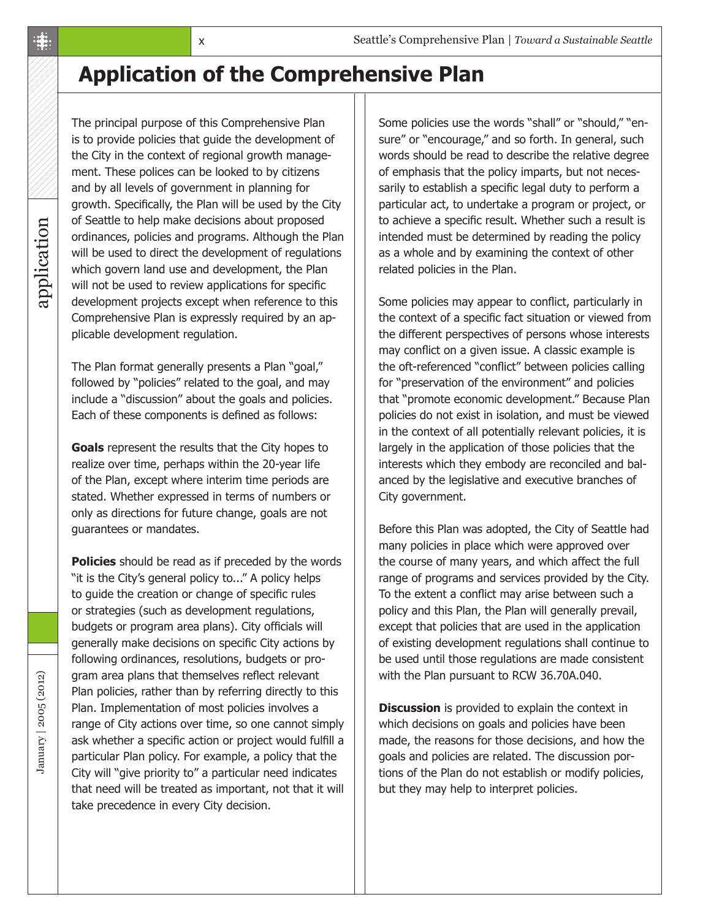### **Application of the Comprehensive Plan**

application application

The principal purpose of this Comprehensive Plan is to provide policies that guide the development of the City in the context of regional growth management. These polices can be looked to by citizens and by all levels of government in planning for growth. Specifically, the Plan will be used by the City of Seattle to help make decisions about proposed ordinances, policies and programs. Although the Plan will be used to direct the development of regulations which govern land use and development, the Plan will not be used to review applications for specific development projects except when reference to this Comprehensive Plan is expressly required by an applicable development regulation.

The Plan format generally presents a Plan "goal," followed by "policies" related to the goal, and may include a "discussion" about the goals and policies. Each of these components is defined as follows:

**Goals** represent the results that the City hopes to realize over time, perhaps within the 20-year life of the Plan, except where interim time periods are stated. Whether expressed in terms of numbers or only as directions for future change, goals are not guarantees or mandates.

**Policies** should be read as if preceded by the words "it is the City's general policy to..." A policy helps to guide the creation or change of specific rules or strategies (such as development regulations, budgets or program area plans). City officials will generally make decisions on specific City actions by following ordinances, resolutions, budgets or program area plans that themselves reflect relevant Plan policies, rather than by referring directly to this Plan. Implementation of most policies involves a range of City actions over time, so one cannot simply ask whether a specific action or project would fulfill a particular Plan policy. For example, a policy that the City will "give priority to" a particular need indicates that need will be treated as important, not that it will take precedence in every City decision.

Some policies use the words "shall" or "should," "ensure" or "encourage," and so forth. In general, such words should be read to describe the relative degree of emphasis that the policy imparts, but not necessarily to establish a specific legal duty to perform a particular act, to undertake a program or project, or to achieve a specific result. Whether such a result is intended must be determined by reading the policy as a whole and by examining the context of other related policies in the Plan.

Some policies may appear to conflict, particularly in the context of a specific fact situation or viewed from the different perspectives of persons whose interests may conflict on a given issue. A classic example is the oft-referenced "conflict" between policies calling for "preservation of the environment" and policies that "promote economic development." Because Plan policies do not exist in isolation, and must be viewed in the context of all potentially relevant policies, it is largely in the application of those policies that the interests which they embody are reconciled and balanced by the legislative and executive branches of City government.

Before this Plan was adopted, the City of Seattle had many policies in place which were approved over the course of many years, and which affect the full range of programs and services provided by the City. To the extent a conflict may arise between such a policy and this Plan, the Plan will generally prevail, except that policies that are used in the application of existing development regulations shall continue to be used until those regulations are made consistent with the Plan pursuant to RCW 36.70A.040.

**Discussion** is provided to explain the context in which decisions on goals and policies have been made, the reasons for those decisions, and how the goals and policies are related. The discussion portions of the Plan do not establish or modify policies, but they may help to interpret policies.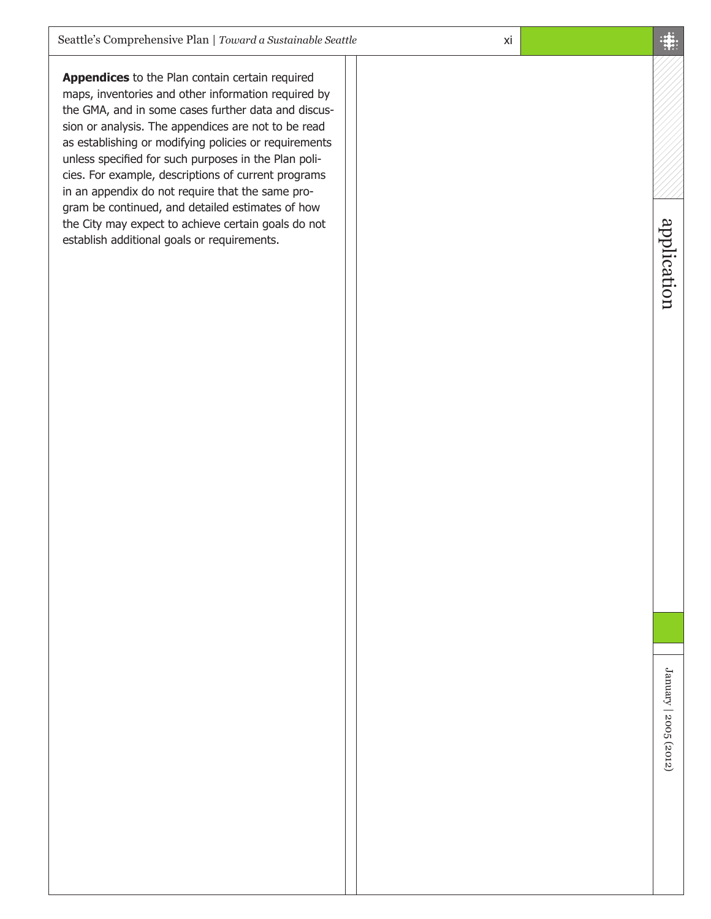**Appendices** to the Plan contain certain required maps, inventories and other information required by the GMA, and in some cases further data and discussion or analysis. The appendices are not to be read as establishing or modifying policies or requirements unless specified for such purposes in the Plan policies. For example, descriptions of current programs in an appendix do not require that the same program be continued, and detailed estimates of how the City may expect to achieve certain goals do not establish additional goals or requirements.

application application

xi